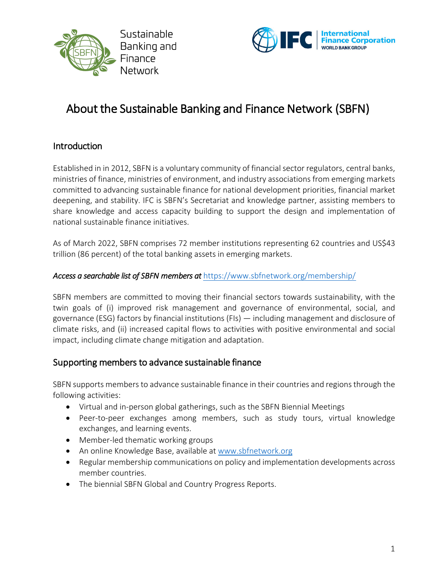



# About the Sustainable Banking and Finance Network (SBFN)

### Introduction

Established in in 2012, SBFN is a voluntary community of financial sector regulators, central banks, ministries of finance, ministries of environment, and industry associations from emerging markets committed to advancing sustainable finance for national development priorities, financial market deepening, and stability. IFC is SBFN's Secretariat and knowledge partner, assisting members to share knowledge and access capacity building to support the design and implementation of national sustainable finance initiatives.

As of March 2022, SBFN comprises 72 member institutions representing 62 countries and US\$43 trillion (86 percent) of the total banking assets in emerging markets.

#### *Access a searchable list of SBFN members at* https://www.sbfnetwork.org/membership/

SBFN members are committed to moving their financial sectors towards sustainability, with the twin goals of (i) improved risk management and governance of environmental, social, and governance (ESG) factors by financial institutions (FIs) — including management and disclosure of climate risks, and (ii) increased capital flows to activities with positive environmental and social impact, including climate change mitigation and adaptation.

### Supporting members to advance sustainable finance

SBFN supports members to advance sustainable finance in their countries and regions through the following activities:

- Virtual and in-person global gatherings, such as the SBFN Biennial Meetings
- Peer-to-peer exchanges among members, such as study tours, virtual knowledge exchanges, and learning events.
- Member-led thematic working groups
- An online Knowledge Base, available at www.sbfnetwork.org
- Regular membership communications on policy and implementation developments across member countries.
- The biennial SBFN Global and Country Progress Reports.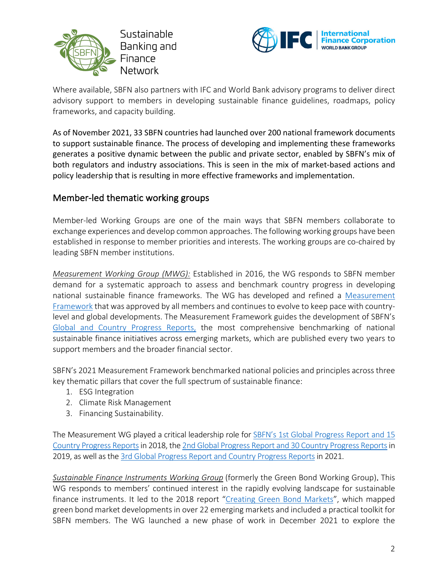



Where available, SBFN also partners with IFC and World Bank advisory programs to deliver direct advisory support to members in developing sustainable finance guidelines, roadmaps, policy frameworks, and capacity building.

As of November 2021, 33 SBFN countries had launched over 200 national framework documents to support sustainable finance. The process of developing and implementing these frameworks generates a positive dynamic between the public and private sector, enabled by SBFN's mix of both regulators and industry associations. This is seen in the mix of market-based actions and policy leadership that is resulting in more effective frameworks and implementation.

### Member-led thematic working groups

Member-led Working Groups are one of the main ways that SBFN members collaborate to exchange experiences and develop common approaches. The following working groups have been established in response to member priorities and interests. The working groups are co-chaired by leading SBFN member institutions.

*Measurement Working Group (MWG):* Established in 2016, the WG responds to SBFN member demand for a systematic approach to assess and benchmark country progress in developing national sustainable finance frameworks. The WG has developed and refined a Measurement Framework that was approved by all members and continues to evolve to keep pace with countrylevel and global developments. The Measurement Framework guides the development of SBFN's Global and Country Progress Reports, the most comprehensive benchmarking of national sustainable finance initiatives across emerging markets, which are published every two years to support members and the broader financial sector.

SBFN's 2021 Measurement Framework benchmarked national policies and principles across three key thematic pillars that cover the full spectrum of sustainable finance:

- 1. ESG Integration
- 2. Climate Risk Management
- 3. Financing Sustainability.

The Measurement WG played a critical leadership role for **SBFN's 1st Global Progress Report and 15** Country Progress Reportsin 2018, the 2nd Global Progress Report and 30 Country Progress Reportsin 2019, as well as the 3rd Global Progress Report and Country Progress Reports in 2021.

*Sustainable Finance Instruments Working Group* (formerly the Green Bond Working Group). This WG responds to members' continued interest in the rapidly evolving landscape for sustainable finance instruments. It led to the 2018 report "Creating Green Bond Markets", which mapped green bond market developments in over 22 emerging markets and included a practical toolkit for SBFN members. The WG launched a new phase of work in December 2021 to explore the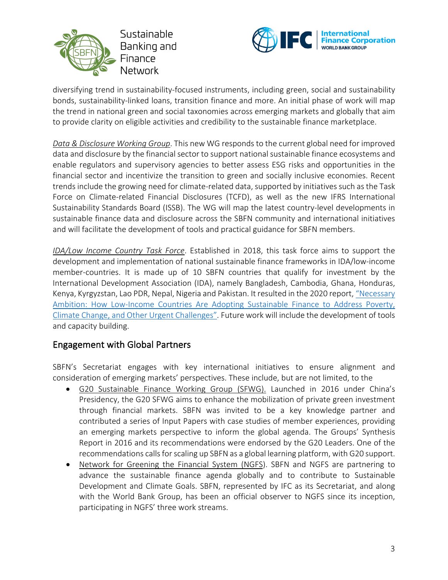



diversifying trend in sustainability-focused instruments, including green, social and sustainability bonds, sustainability-linked loans, transition finance and more. An initial phase of work will map the trend in national green and social taxonomies across emerging markets and globally that aim to provide clarity on eligible activities and credibility to the sustainable finance marketplace.

*Data & Disclosure Working Group*. This new WG responds to the current global need for improved data and disclosure by the financial sector to support national sustainable finance ecosystems and enable regulators and supervisory agencies to better assess ESG risks and opportunities in the financial sector and incentivize the transition to green and socially inclusive economies. Recent trends include the growing need for climate-related data, supported by initiatives such as the Task Force on Climate-related Financial Disclosures (TCFD), as well as the new IFRS International Sustainability Standards Board (ISSB). The WG will map the latest country-level developments in sustainable finance data and disclosure across the SBFN community and international initiatives and will facilitate the development of tools and practical guidance for SBFN members.

*IDA/Low Income Country Task Force*. Established in 2018, this task force aims to support the development and implementation of national sustainable finance frameworks in IDA/low-income member-countries. It is made up of 10 SBFN countries that qualify for investment by the International Development Association (IDA), namely Bangladesh, Cambodia, Ghana, Honduras, Kenya, Kyrgyzstan, Lao PDR, Nepal, Nigeria and Pakistan. It resulted in the 2020 report, "Necessary Ambition: How Low-Income Countries Are Adopting Sustainable Finance to Address Poverty, Climate Change, and Other Urgent Challenges". Future work will include the development of tools and capacity building.

### Engagement with Global Partners

SBFN's Secretariat engages with key international initiatives to ensure alignment and consideration of emerging markets' perspectives. These include, but are not limited, to the

- G20 Sustainable Finance Working Group (SFWG). Launched in 2016 under China's Presidency, the G20 SFWG aims to enhance the mobilization of private green investment through financial markets. SBFN was invited to be a key knowledge partner and contributed a series of Input Papers with case studies of member experiences, providing an emerging markets perspective to inform the global agenda. The Groups' Synthesis Report in 2016 and its recommendations were endorsed by the G20 Leaders. One of the recommendations calls for scaling up SBFN as a global learning platform, with G20 support.
- Network for Greening the Financial System (NGFS). SBFN and NGFS are partnering to advance the sustainable finance agenda globally and to contribute to Sustainable Development and Climate Goals. SBFN, represented by IFC as its Secretariat, and along with the World Bank Group, has been an official observer to NGFS since its inception, participating in NGFS' three work streams.